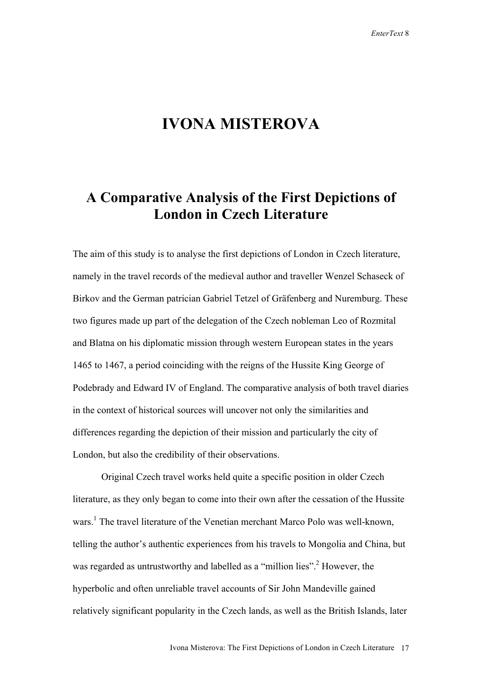## **IVONA MISTEROVA**

## **A Comparative Analysis of the First Depictions of London in Czech Literature**

The aim of this study is to analyse the first depictions of London in Czech literature, namely in the travel records of the medieval author and traveller Wenzel Schaseck of Birkov and the German patrician Gabriel Tetzel of Gräfenberg and Nuremburg. These two figures made up part of the delegation of the Czech nobleman Leo of Rozmital and Blatna on his diplomatic mission through western European states in the years 1465 to 1467, a period coinciding with the reigns of the Hussite King George of Podebrady and Edward IV of England. The comparative analysis of both travel diaries in the context of historical sources will uncover not only the similarities and differences regarding the depiction of their mission and particularly the city of London, but also the credibility of their observations.

Original Czech travel works held quite a specific position in older Czech literature, as they only began to come into their own after the cessation of the Hussite wars.<sup>1</sup> The travel literature of the Venetian merchant Marco Polo was well-known, telling the author's authentic experiences from his travels to Mongolia and China, but was regarded as untrustworthy and labelled as a "million lies".<sup>2</sup> However, the hyperbolic and often unreliable travel accounts of Sir John Mandeville gained relatively significant popularity in the Czech lands, as well as the British Islands, later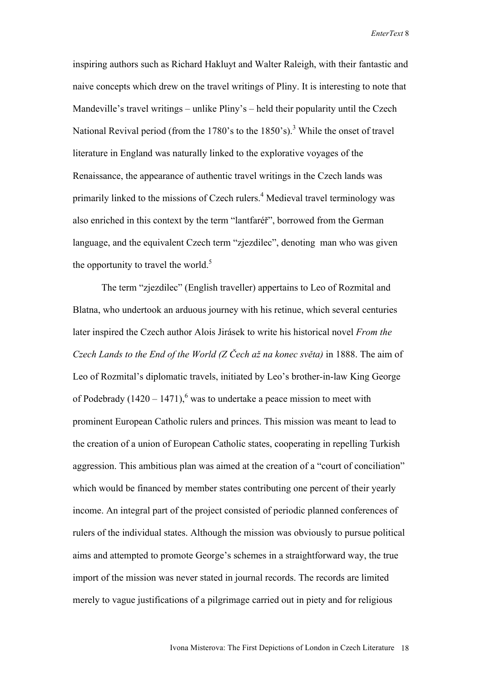inspiring authors such as Richard Hakluyt and Walter Raleigh, with their fantastic and naive concepts which drew on the travel writings of Pliny. It is interesting to note that Mandeville's travel writings – unlike Pliny's – held their popularity until the Czech National Revival period (from the 1780's to the 1850's).<sup>3</sup> While the onset of travel literature in England was naturally linked to the explorative voyages of the Renaissance, the appearance of authentic travel writings in the Czech lands was primarily linked to the missions of Czech rulers.<sup>4</sup> Medieval travel terminology was also enriched in this context by the term "lantfaréř", borrowed from the German language, and the equivalent Czech term "zjezdilec", denoting man who was given the opportunity to travel the world.<sup>5</sup>

The term "zjezdilec" (English traveller) appertains to Leo of Rozmital and Blatna, who undertook an arduous journey with his retinue, which several centuries later inspired the Czech author Alois Jirásek to write his historical novel *From the Czech Lands to the End of the World (Z Čech až na konec světa)* in 1888. The aim of Leo of Rozmital's diplomatic travels, initiated by Leo's brother-in-law King George of Podebrady  $(1420 - 1471)$ , was to undertake a peace mission to meet with prominent European Catholic rulers and princes. This mission was meant to lead to the creation of a union of European Catholic states, cooperating in repelling Turkish aggression. This ambitious plan was aimed at the creation of a "court of conciliation" which would be financed by member states contributing one percent of their yearly income. An integral part of the project consisted of periodic planned conferences of rulers of the individual states. Although the mission was obviously to pursue political aims and attempted to promote George's schemes in a straightforward way, the true import of the mission was never stated in journal records. The records are limited merely to vague justifications of a pilgrimage carried out in piety and for religious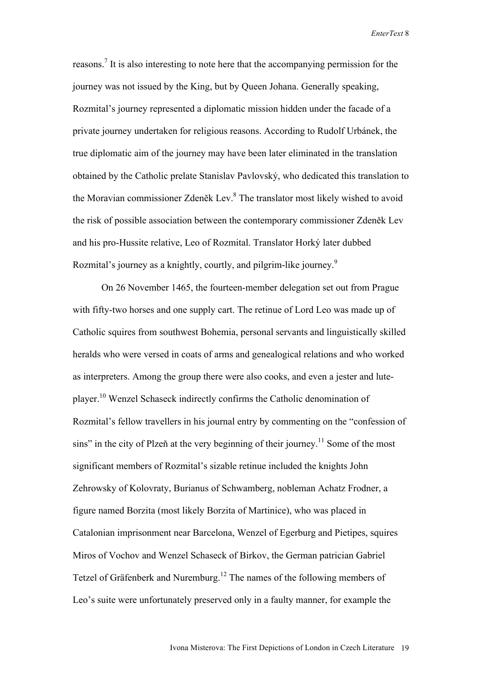reasons.<sup>7</sup> It is also interesting to note here that the accompanying permission for the journey was not issued by the King, but by Queen Johana. Generally speaking, Rozmital's journey represented a diplomatic mission hidden under the facade of a private journey undertaken for religious reasons. According to Rudolf Urbánek, the true diplomatic aim of the journey may have been later eliminated in the translation obtained by the Catholic prelate Stanislav Pavlovský, who dedicated this translation to the Moravian commissioner Zdeněk Lev.<sup>8</sup> The translator most likely wished to avoid the risk of possible association between the contemporary commissioner Zdeněk Lev and his pro-Hussite relative, Leo of Rozmital. Translator Horký later dubbed Rozmital's journey as a knightly, courtly, and pilgrim-like journey.<sup>9</sup>

On 26 November 1465, the fourteen-member delegation set out from Prague with fifty-two horses and one supply cart. The retinue of Lord Leo was made up of Catholic squires from southwest Bohemia, personal servants and linguistically skilled heralds who were versed in coats of arms and genealogical relations and who worked as interpreters. Among the group there were also cooks, and even a jester and luteplayer.10 Wenzel Schaseck indirectly confirms the Catholic denomination of Rozmital's fellow travellers in his journal entry by commenting on the "confession of sins" in the city of Plzeň at the very beginning of their journey.<sup>11</sup> Some of the most significant members of Rozmital's sizable retinue included the knights John Zehrowsky of Kolovraty, Burianus of Schwamberg, nobleman Achatz Frodner, a figure named Borzita (most likely Borzita of Martinice), who was placed in Catalonian imprisonment near Barcelona, Wenzel of Egerburg and Pietipes, squires Miros of Vochov and Wenzel Schaseck of Birkov, the German patrician Gabriel Tetzel of Gräfenberk and Nuremburg.<sup>12</sup> The names of the following members of Leo's suite were unfortunately preserved only in a faulty manner, for example the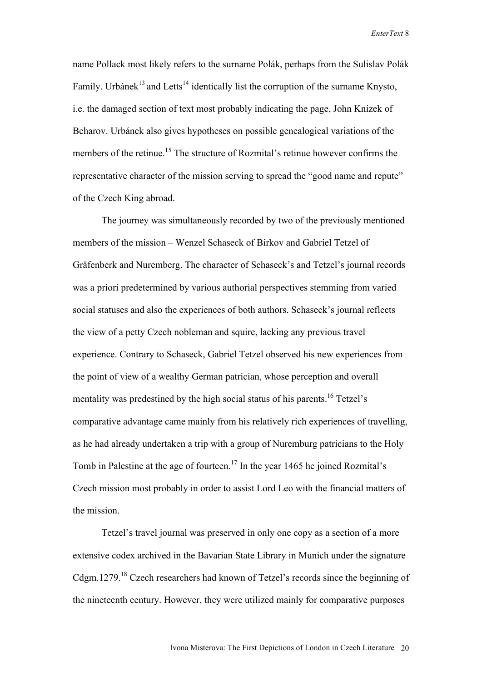name Pollack most likely refers to the surname Polák, perhaps from the Sulislav Polák Family. Urbánek<sup>13</sup> and Letts<sup>14</sup> identically list the corruption of the surname Knysto, i.e. the damaged section of text most probably indicating the page, John Knizek of Beharov. Urbánek also gives hypotheses on possible genealogical variations of the members of the retinue.<sup>15</sup> The structure of Rozmital's retinue however confirms the representative character of the mission serving to spread the "good name and repute" of the Czech King abroad.

The journey was simultaneously recorded by two of the previously mentioned members of the mission – Wenzel Schaseck of Birkov and Gabriel Tetzel of Gräfenberk and Nuremberg. The character of Schaseck's and Tetzel's journal records was a priori predetermined by various authorial perspectives stemming from varied social statuses and also the experiences of both authors. Schaseck's journal reflects the view of a petty Czech nobleman and squire, lacking any previous travel experience. Contrary to Schaseck, Gabriel Tetzel observed his new experiences from the point of view of a wealthy German patrician, whose perception and overall mentality was predestined by the high social status of his parents.<sup>16</sup> Tetzel's comparative advantage came mainly from his relatively rich experiences of travelling, as he had already undertaken a trip with a group of Nuremburg patricians to the Holy Tomb in Palestine at the age of fourteen.<sup>17</sup> In the year 1465 he joined Rozmital's Czech mission most probably in order to assist Lord Leo with the financial matters of the mission.

Tetzel's travel journal was preserved in only one copy as a section of a more extensive codex archived in the Bavarian State Library in Munich under the signature Cdgm.1279.<sup>18</sup> Czech researchers had known of Tetzel's records since the beginning of the nineteenth century. However, they were utilized mainly for comparative purposes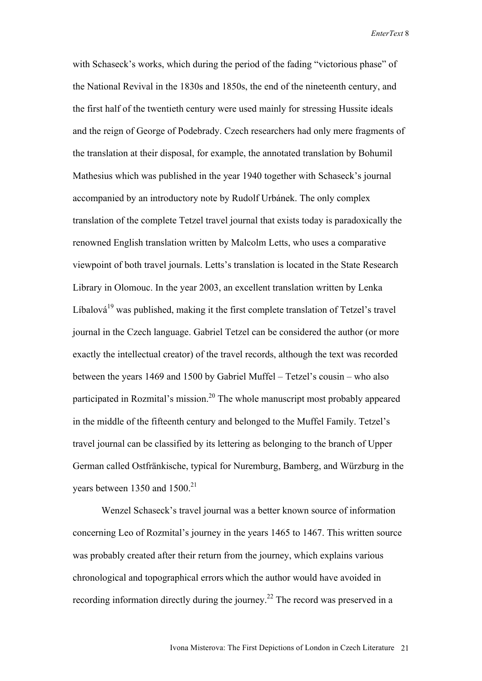with Schaseck's works, which during the period of the fading "victorious phase" of the National Revival in the 1830s and 1850s, the end of the nineteenth century, and the first half of the twentieth century were used mainly for stressing Hussite ideals and the reign of George of Podebrady. Czech researchers had only mere fragments of the translation at their disposal, for example, the annotated translation by Bohumil Mathesius which was published in the year 1940 together with Schaseck's journal accompanied by an introductory note by Rudolf Urbánek. The only complex translation of the complete Tetzel travel journal that exists today is paradoxically the renowned English translation written by Malcolm Letts, who uses a comparative viewpoint of both travel journals. Letts's translation is located in the State Research Library in Olomouc. In the year 2003, an excellent translation written by Lenka Líbalová $19$  was published, making it the first complete translation of Tetzel's travel journal in the Czech language. Gabriel Tetzel can be considered the author (or more exactly the intellectual creator) of the travel records, although the text was recorded between the years 1469 and 1500 by Gabriel Muffel – Tetzel's cousin – who also participated in Rozmital's mission.<sup>20</sup> The whole manuscript most probably appeared in the middle of the fifteenth century and belonged to the Muffel Family. Tetzel's travel journal can be classified by its lettering as belonging to the branch of Upper German called Ostfränkische, typical for Nuremburg, Bamberg, and Würzburg in the years between 1350 and  $1500<sup>21</sup>$ 

Wenzel Schaseck's travel journal was a better known source of information concerning Leo of Rozmital's journey in the years 1465 to 1467. This written source was probably created after their return from the journey, which explains various chronological and topographical errors which the author would have avoided in recording information directly during the journey.<sup>22</sup> The record was preserved in a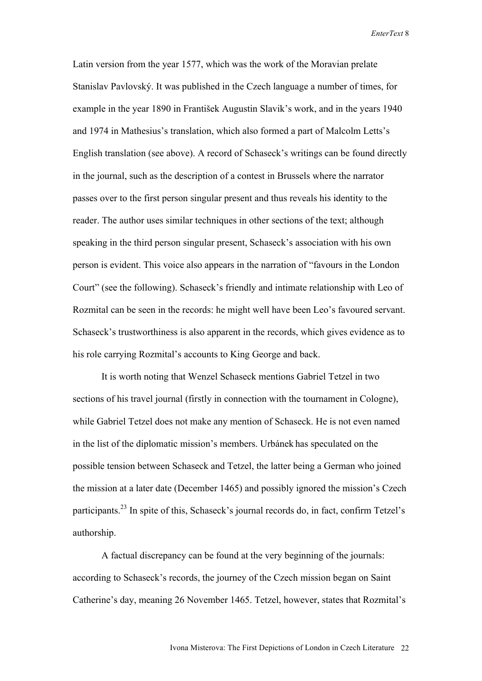Latin version from the year 1577, which was the work of the Moravian prelate Stanislav Pavlovský. It was published in the Czech language a number of times, for example in the year 1890 in František Augustin Slavik's work, and in the years 1940 and 1974 in Mathesius's translation, which also formed a part of Malcolm Letts's English translation (see above). A record of Schaseck's writings can be found directly in the journal, such as the description of a contest in Brussels where the narrator passes over to the first person singular present and thus reveals his identity to the reader. The author uses similar techniques in other sections of the text; although speaking in the third person singular present, Schaseck's association with his own person is evident. This voice also appears in the narration of "favours in the London Court" (see the following). Schaseck's friendly and intimate relationship with Leo of Rozmital can be seen in the records: he might well have been Leo's favoured servant. Schaseck's trustworthiness is also apparent in the records, which gives evidence as to his role carrying Rozmital's accounts to King George and back.

It is worth noting that Wenzel Schaseck mentions Gabriel Tetzel in two sections of his travel journal (firstly in connection with the tournament in Cologne), while Gabriel Tetzel does not make any mention of Schaseck. He is not even named in the list of the diplomatic mission's members. Urbánek has speculated on the possible tension between Schaseck and Tetzel, the latter being a German who joined the mission at a later date (December 1465) and possibly ignored the mission's Czech participants.<sup>23</sup> In spite of this, Schaseck's journal records do, in fact, confirm Tetzel's authorship.

A factual discrepancy can be found at the very beginning of the journals: according to Schaseck's records, the journey of the Czech mission began on Saint Catherine's day, meaning 26 November 1465. Tetzel, however, states that Rozmital's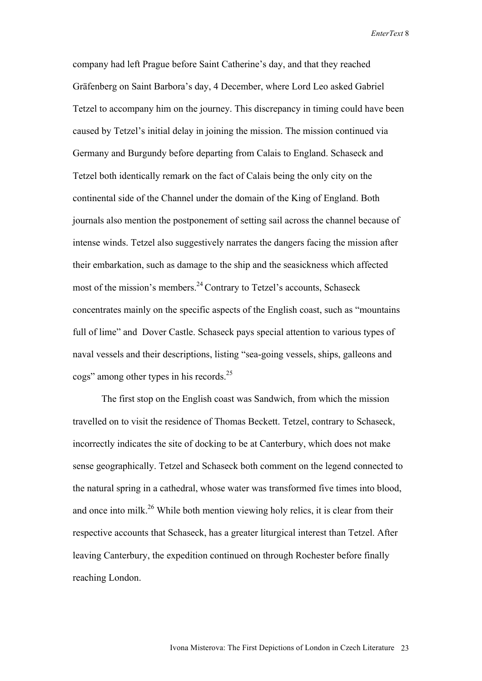company had left Prague before Saint Catherine's day, and that they reached Gräfenberg on Saint Barbora's day, 4 December, where Lord Leo asked Gabriel Tetzel to accompany him on the journey. This discrepancy in timing could have been caused by Tetzel's initial delay in joining the mission. The mission continued via Germany and Burgundy before departing from Calais to England. Schaseck and Tetzel both identically remark on the fact of Calais being the only city on the continental side of the Channel under the domain of the King of England. Both journals also mention the postponement of setting sail across the channel because of intense winds. Tetzel also suggestively narrates the dangers facing the mission after their embarkation, such as damage to the ship and the seasickness which affected most of the mission's members.<sup>24</sup> Contrary to Tetzel's accounts, Schaseck concentrates mainly on the specific aspects of the English coast, such as "mountains full of lime" and Dover Castle. Schaseck pays special attention to various types of naval vessels and their descriptions, listing "sea-going vessels, ships, galleons and cogs" among other types in his records.25

The first stop on the English coast was Sandwich, from which the mission travelled on to visit the residence of Thomas Beckett. Tetzel, contrary to Schaseck, incorrectly indicates the site of docking to be at Canterbury, which does not make sense geographically. Tetzel and Schaseck both comment on the legend connected to the natural spring in a cathedral, whose water was transformed five times into blood, and once into milk.<sup>26</sup> While both mention viewing holy relics, it is clear from their respective accounts that Schaseck, has a greater liturgical interest than Tetzel. After leaving Canterbury, the expedition continued on through Rochester before finally reaching London.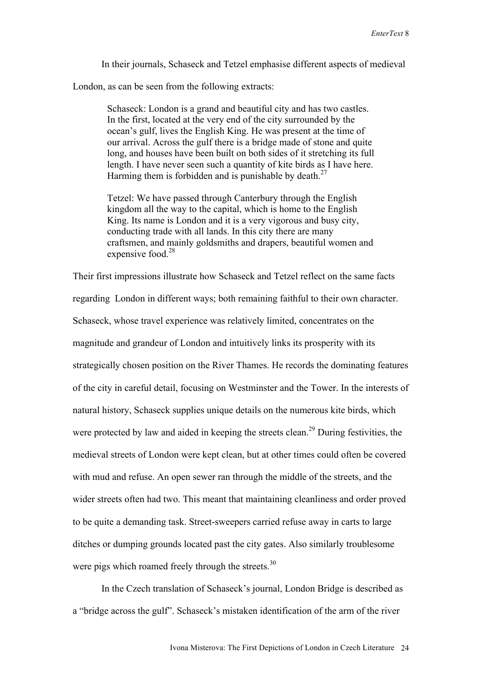In their journals, Schaseck and Tetzel emphasise different aspects of medieval

London, as can be seen from the following extracts:

Schaseck: London is a grand and beautiful city and has two castles. In the first, located at the very end of the city surrounded by the ocean's gulf, lives the English King. He was present at the time of our arrival. Across the gulf there is a bridge made of stone and quite long, and houses have been built on both sides of it stretching its full length. I have never seen such a quantity of kite birds as I have here. Harming them is forbidden and is punishable by death.<sup>27</sup>

Tetzel: We have passed through Canterbury through the English kingdom all the way to the capital, which is home to the English King. Its name is London and it is a very vigorous and busy city, conducting trade with all lands. In this city there are many craftsmen, and mainly goldsmiths and drapers, beautiful women and expensive food.<sup>28</sup>

Their first impressions illustrate how Schaseck and Tetzel reflect on the same facts regarding London in different ways; both remaining faithful to their own character. Schaseck, whose travel experience was relatively limited, concentrates on the magnitude and grandeur of London and intuitively links its prosperity with its strategically chosen position on the River Thames. He records the dominating features of the city in careful detail, focusing on Westminster and the Tower. In the interests of natural history, Schaseck supplies unique details on the numerous kite birds, which were protected by law and aided in keeping the streets clean.<sup>29</sup> During festivities, the medieval streets of London were kept clean, but at other times could often be covered with mud and refuse. An open sewer ran through the middle of the streets, and the wider streets often had two. This meant that maintaining cleanliness and order proved to be quite a demanding task. Street-sweepers carried refuse away in carts to large ditches or dumping grounds located past the city gates. Also similarly troublesome were pigs which roamed freely through the streets.<sup>30</sup>

In the Czech translation of Schaseck's journal, London Bridge is described as a "bridge across the gulf". Schaseck's mistaken identification of the arm of the river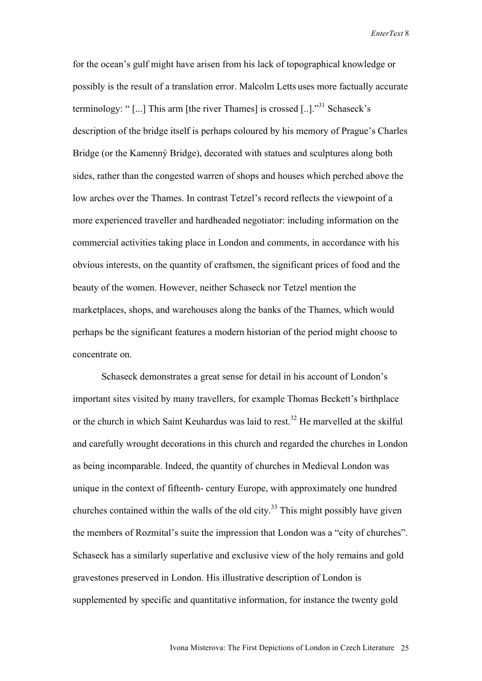for the ocean's gulf might have arisen from his lack of topographical knowledge or possibly is the result of a translation error. Malcolm Letts uses more factually accurate terminology: "[...] This arm [the river Thames] is crossed [..]."<sup>31</sup> Schaseck's description of the bridge itself is perhaps coloured by his memory of Prague's Charles Bridge (or the Kamenný Bridge), decorated with statues and sculptures along both sides, rather than the congested warren of shops and houses which perched above the low arches over the Thames. In contrast Tetzel's record reflects the viewpoint of a more experienced traveller and hardheaded negotiator: including information on the commercial activities taking place in London and comments, in accordance with his obvious interests, on the quantity of craftsmen, the significant prices of food and the beauty of the women. However, neither Schaseck nor Tetzel mention the marketplaces, shops, and warehouses along the banks of the Thames, which would perhaps be the significant features a modern historian of the period might choose to concentrate on.

Schaseck demonstrates a great sense for detail in his account of London's important sites visited by many travellers, for example Thomas Beckett's birthplace or the church in which Saint Keuhardus was laid to rest.<sup>32</sup> He marvelled at the skilful and carefully wrought decorations in this church and regarded the churches in London as being incomparable. Indeed, the quantity of churches in Medieval London was unique in the context of fifteenth- century Europe, with approximately one hundred churches contained within the walls of the old city.<sup>33</sup> This might possibly have given the members of Rozmital's suite the impression that London was a "city of churches". Schaseck has a similarly superlative and exclusive view of the holy remains and gold gravestones preserved in London. His illustrative description of London is supplemented by specific and quantitative information, for instance the twenty gold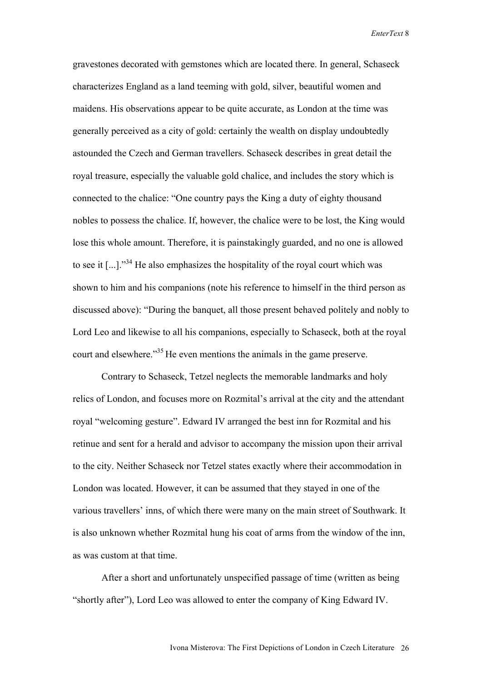gravestones decorated with gemstones which are located there. In general, Schaseck characterizes England as a land teeming with gold, silver, beautiful women and maidens. His observations appear to be quite accurate, as London at the time was generally perceived as a city of gold: certainly the wealth on display undoubtedly astounded the Czech and German travellers. Schaseck describes in great detail the royal treasure, especially the valuable gold chalice, and includes the story which is connected to the chalice: "One country pays the King a duty of eighty thousand nobles to possess the chalice. If, however, the chalice were to be lost, the King would lose this whole amount. Therefore, it is painstakingly guarded, and no one is allowed to see it  $\left[\ldots\right]$ .<sup>34</sup> He also emphasizes the hospitality of the royal court which was shown to him and his companions (note his reference to himself in the third person as discussed above): "During the banquet, all those present behaved politely and nobly to Lord Leo and likewise to all his companions, especially to Schaseck, both at the royal court and elsewhere.<sup>35</sup> He even mentions the animals in the game preserve.

Contrary to Schaseck, Tetzel neglects the memorable landmarks and holy relics of London, and focuses more on Rozmital's arrival at the city and the attendant royal "welcoming gesture". Edward IV arranged the best inn for Rozmital and his retinue and sent for a herald and advisor to accompany the mission upon their arrival to the city. Neither Schaseck nor Tetzel states exactly where their accommodation in London was located. However, it can be assumed that they stayed in one of the various travellers' inns, of which there were many on the main street of Southwark. It is also unknown whether Rozmital hung his coat of arms from the window of the inn, as was custom at that time.

After a short and unfortunately unspecified passage of time (written as being "shortly after"), Lord Leo was allowed to enter the company of King Edward IV.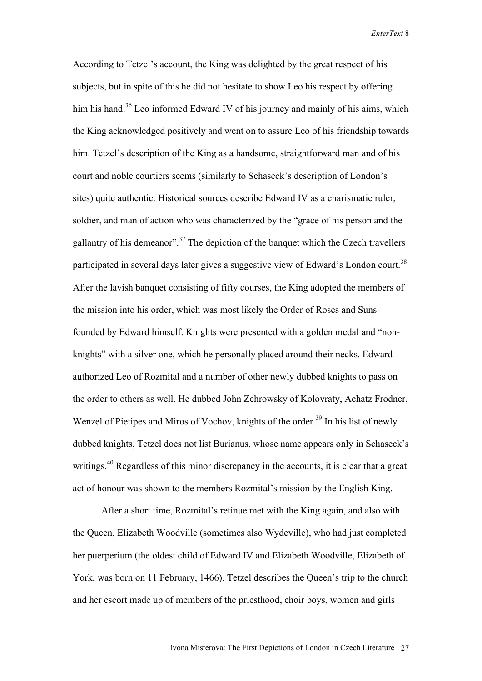According to Tetzel's account, the King was delighted by the great respect of his subjects, but in spite of this he did not hesitate to show Leo his respect by offering him his hand.<sup>36</sup> Leo informed Edward IV of his journey and mainly of his aims, which the King acknowledged positively and went on to assure Leo of his friendship towards him. Tetzel's description of the King as a handsome, straightforward man and of his court and noble courtiers seems (similarly to Schaseck's description of London's sites) quite authentic. Historical sources describe Edward IV as a charismatic ruler, soldier, and man of action who was characterized by the "grace of his person and the gallantry of his demeanor".<sup>37</sup> The depiction of the banquet which the Czech travellers participated in several days later gives a suggestive view of Edward's London court.<sup>38</sup> After the lavish banquet consisting of fifty courses, the King adopted the members of the mission into his order, which was most likely the Order of Roses and Suns founded by Edward himself. Knights were presented with a golden medal and "nonknights" with a silver one, which he personally placed around their necks. Edward authorized Leo of Rozmital and a number of other newly dubbed knights to pass on the order to others as well. He dubbed John Zehrowsky of Kolovraty, Achatz Frodner, Wenzel of Pietipes and Miros of Vochov, knights of the order.<sup>39</sup> In his list of newly dubbed knights, Tetzel does not list Burianus, whose name appears only in Schaseck's writings.<sup>40</sup> Regardless of this minor discrepancy in the accounts, it is clear that a great act of honour was shown to the members Rozmital's mission by the English King.

After a short time, Rozmital's retinue met with the King again, and also with the Queen, Elizabeth Woodville (sometimes also Wydeville), who had just completed her puerperium (the oldest child of Edward IV and Elizabeth Woodville, Elizabeth of York, was born on 11 February, 1466). Tetzel describes the Queen's trip to the church and her escort made up of members of the priesthood, choir boys, women and girls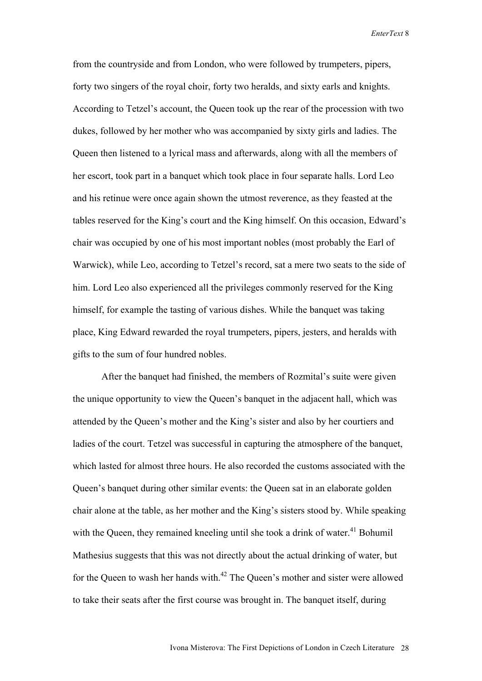from the countryside and from London, who were followed by trumpeters, pipers, forty two singers of the royal choir, forty two heralds, and sixty earls and knights. According to Tetzel's account, the Queen took up the rear of the procession with two dukes, followed by her mother who was accompanied by sixty girls and ladies. The Queen then listened to a lyrical mass and afterwards, along with all the members of her escort, took part in a banquet which took place in four separate halls. Lord Leo and his retinue were once again shown the utmost reverence, as they feasted at the tables reserved for the King's court and the King himself. On this occasion, Edward's chair was occupied by one of his most important nobles (most probably the Earl of Warwick), while Leo, according to Tetzel's record, sat a mere two seats to the side of him. Lord Leo also experienced all the privileges commonly reserved for the King himself, for example the tasting of various dishes. While the banquet was taking place, King Edward rewarded the royal trumpeters, pipers, jesters, and heralds with gifts to the sum of four hundred nobles.

After the banquet had finished, the members of Rozmital's suite were given the unique opportunity to view the Queen's banquet in the adjacent hall, which was attended by the Queen's mother and the King's sister and also by her courtiers and ladies of the court. Tetzel was successful in capturing the atmosphere of the banquet, which lasted for almost three hours. He also recorded the customs associated with the Queen's banquet during other similar events: the Queen sat in an elaborate golden chair alone at the table, as her mother and the King's sisters stood by. While speaking with the Queen, they remained kneeling until she took a drink of water.<sup>41</sup> Bohumil Mathesius suggests that this was not directly about the actual drinking of water, but for the Queen to wash her hands with.<sup>42</sup> The Queen's mother and sister were allowed to take their seats after the first course was brought in. The banquet itself, during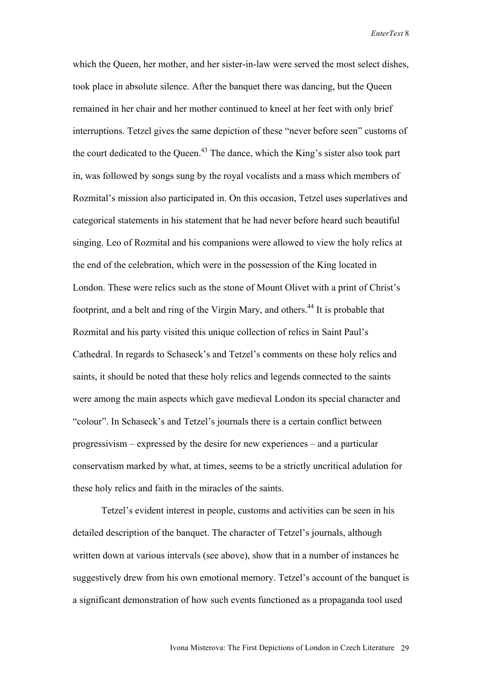which the Queen, her mother, and her sister-in-law were served the most select dishes, took place in absolute silence. After the banquet there was dancing, but the Queen remained in her chair and her mother continued to kneel at her feet with only brief interruptions. Tetzel gives the same depiction of these "never before seen" customs of the court dedicated to the Queen.<sup>43</sup> The dance, which the King's sister also took part in, was followed by songs sung by the royal vocalists and a mass which members of Rozmital's mission also participated in. On this occasion, Tetzel uses superlatives and categorical statements in his statement that he had never before heard such beautiful singing. Leo of Rozmital and his companions were allowed to view the holy relics at the end of the celebration, which were in the possession of the King located in London. These were relics such as the stone of Mount Olivet with a print of Christ's footprint, and a belt and ring of the Virgin Mary, and others.<sup>44</sup> It is probable that Rozmital and his party visited this unique collection of relics in Saint Paul's Cathedral. In regards to Schaseck's and Tetzel's comments on these holy relics and saints, it should be noted that these holy relics and legends connected to the saints were among the main aspects which gave medieval London its special character and "colour". In Schaseck's and Tetzel's journals there is a certain conflict between progressivism – expressed by the desire for new experiences – and a particular conservatism marked by what, at times, seems to be a strictly uncritical adulation for these holy relics and faith in the miracles of the saints.

Tetzel's evident interest in people, customs and activities can be seen in his detailed description of the banquet. The character of Tetzel's journals, although written down at various intervals (see above), show that in a number of instances he suggestively drew from his own emotional memory. Tetzel's account of the banquet is a significant demonstration of how such events functioned as a propaganda tool used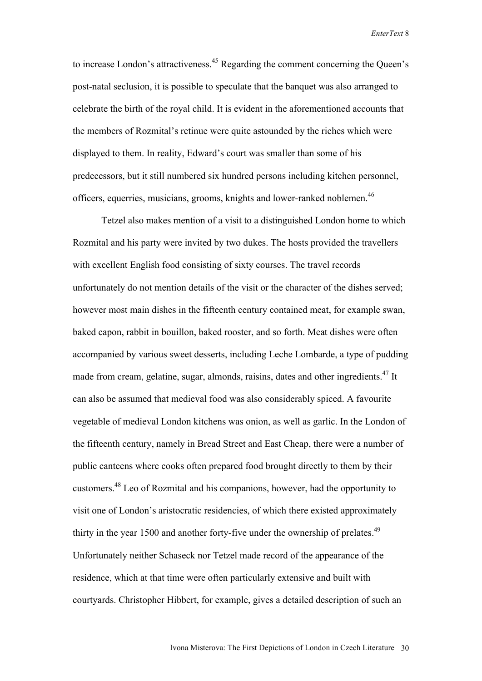to increase London's attractiveness.<sup>45</sup> Regarding the comment concerning the Queen's post-natal seclusion, it is possible to speculate that the banquet was also arranged to celebrate the birth of the royal child. It is evident in the aforementioned accounts that the members of Rozmital's retinue were quite astounded by the riches which were displayed to them. In reality, Edward's court was smaller than some of his predecessors, but it still numbered six hundred persons including kitchen personnel, officers, equerries, musicians, grooms, knights and lower-ranked noblemen.<sup>46</sup>

Tetzel also makes mention of a visit to a distinguished London home to which Rozmital and his party were invited by two dukes. The hosts provided the travellers with excellent English food consisting of sixty courses. The travel records unfortunately do not mention details of the visit or the character of the dishes served; however most main dishes in the fifteenth century contained meat, for example swan, baked capon, rabbit in bouillon, baked rooster, and so forth. Meat dishes were often accompanied by various sweet desserts, including Leche Lombarde, a type of pudding made from cream, gelatine, sugar, almonds, raisins, dates and other ingredients.<sup>47</sup> It can also be assumed that medieval food was also considerably spiced. A favourite vegetable of medieval London kitchens was onion, as well as garlic. In the London of the fifteenth century, namely in Bread Street and East Cheap, there were a number of public canteens where cooks often prepared food brought directly to them by their customers.<sup>48</sup> Leo of Rozmital and his companions, however, had the opportunity to visit one of London's aristocratic residencies, of which there existed approximately thirty in the year 1500 and another forty-five under the ownership of prelates.<sup>49</sup> Unfortunately neither Schaseck nor Tetzel made record of the appearance of the residence, which at that time were often particularly extensive and built with courtyards. Christopher Hibbert, for example, gives a detailed description of such an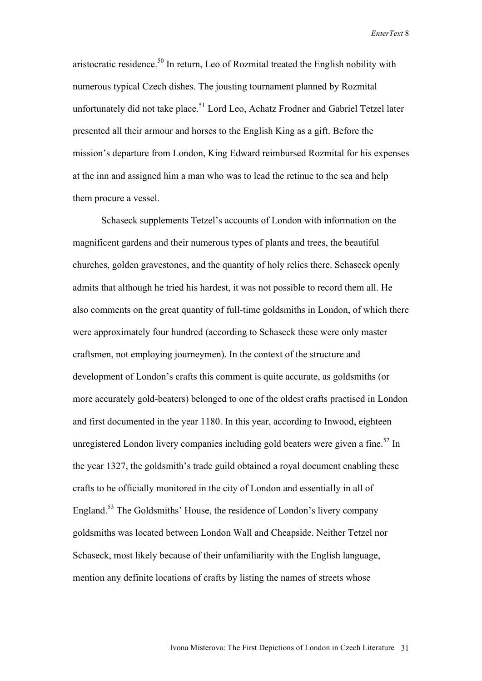aristocratic residence.50 In return, Leo of Rozmital treated the English nobility with numerous typical Czech dishes. The jousting tournament planned by Rozmital unfortunately did not take place.<sup>51</sup> Lord Leo, Achatz Frodner and Gabriel Tetzel later presented all their armour and horses to the English King as a gift. Before the mission's departure from London, King Edward reimbursed Rozmital for his expenses at the inn and assigned him a man who was to lead the retinue to the sea and help them procure a vessel.

Schaseck supplements Tetzel's accounts of London with information on the magnificent gardens and their numerous types of plants and trees, the beautiful churches, golden gravestones, and the quantity of holy relics there. Schaseck openly admits that although he tried his hardest, it was not possible to record them all. He also comments on the great quantity of full-time goldsmiths in London, of which there were approximately four hundred (according to Schaseck these were only master craftsmen, not employing journeymen). In the context of the structure and development of London's crafts this comment is quite accurate, as goldsmiths (or more accurately gold-beaters) belonged to one of the oldest crafts practised in London and first documented in the year 1180. In this year, according to Inwood, eighteen unregistered London livery companies including gold beaters were given a fine.<sup>52</sup> In the year 1327, the goldsmith's trade guild obtained a royal document enabling these crafts to be officially monitored in the city of London and essentially in all of England.<sup>53</sup> The Goldsmiths' House, the residence of London's livery company goldsmiths was located between London Wall and Cheapside. Neither Tetzel nor Schaseck, most likely because of their unfamiliarity with the English language, mention any definite locations of crafts by listing the names of streets whose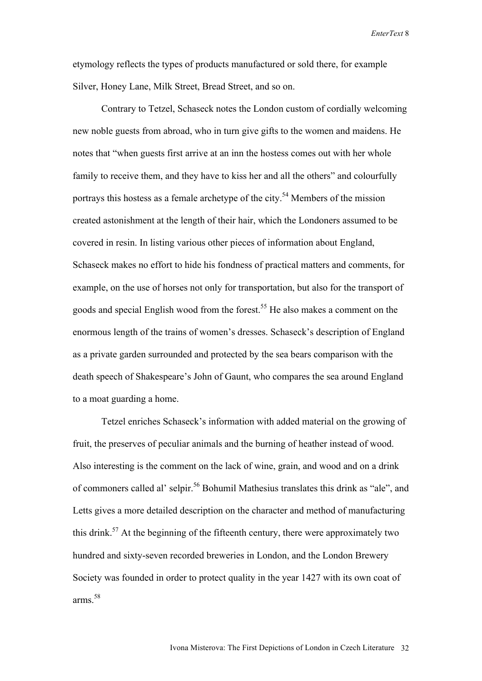etymology reflects the types of products manufactured or sold there, for example Silver, Honey Lane, Milk Street, Bread Street, and so on.

Contrary to Tetzel, Schaseck notes the London custom of cordially welcoming new noble guests from abroad, who in turn give gifts to the women and maidens. He notes that "when guests first arrive at an inn the hostess comes out with her whole family to receive them, and they have to kiss her and all the others" and colourfully portrays this hostess as a female archetype of the city.<sup>54</sup> Members of the mission created astonishment at the length of their hair, which the Londoners assumed to be covered in resin. In listing various other pieces of information about England, Schaseck makes no effort to hide his fondness of practical matters and comments, for example, on the use of horses not only for transportation, but also for the transport of goods and special English wood from the forest.<sup>55</sup> He also makes a comment on the enormous length of the trains of women's dresses. Schaseck's description of England as a private garden surrounded and protected by the sea bears comparison with the death speech of Shakespeare's John of Gaunt, who compares the sea around England to a moat guarding a home.

Tetzel enriches Schaseck's information with added material on the growing of fruit, the preserves of peculiar animals and the burning of heather instead of wood. Also interesting is the comment on the lack of wine, grain, and wood and on a drink of commoners called al' selpir.<sup>56</sup> Bohumil Mathesius translates this drink as "ale", and Letts gives a more detailed description on the character and method of manufacturing this drink.<sup>57</sup> At the beginning of the fifteenth century, there were approximately two hundred and sixty-seven recorded breweries in London, and the London Brewery Society was founded in order to protect quality in the year 1427 with its own coat of arms.58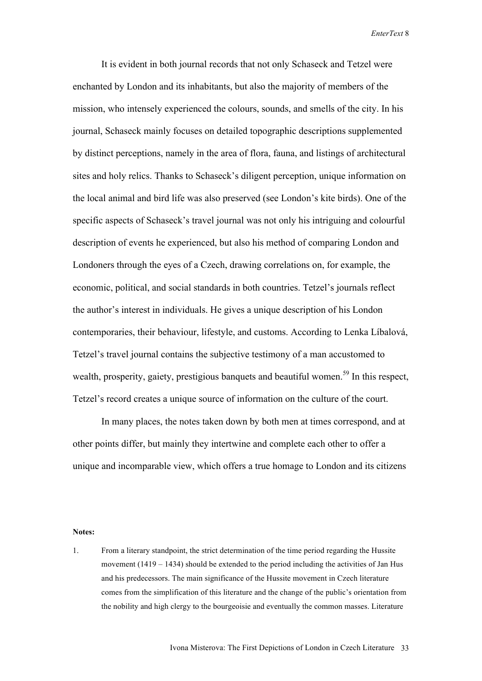It is evident in both journal records that not only Schaseck and Tetzel were enchanted by London and its inhabitants, but also the majority of members of the mission, who intensely experienced the colours, sounds, and smells of the city. In his journal, Schaseck mainly focuses on detailed topographic descriptions supplemented by distinct perceptions, namely in the area of flora, fauna, and listings of architectural sites and holy relics. Thanks to Schaseck's diligent perception, unique information on the local animal and bird life was also preserved (see London's kite birds). One of the specific aspects of Schaseck's travel journal was not only his intriguing and colourful description of events he experienced, but also his method of comparing London and Londoners through the eyes of a Czech, drawing correlations on, for example, the economic, political, and social standards in both countries. Tetzel's journals reflect the author's interest in individuals. He gives a unique description of his London contemporaries, their behaviour, lifestyle, and customs. According to Lenka Líbalová, Tetzel's travel journal contains the subjective testimony of a man accustomed to wealth, prosperity, gaiety, prestigious banquets and beautiful women.<sup>59</sup> In this respect, Tetzel's record creates a unique source of information on the culture of the court.

In many places, the notes taken down by both men at times correspond, and at other points differ, but mainly they intertwine and complete each other to offer a unique and incomparable view, which offers a true homage to London and its citizens

## **Notes:**

1. From a literary standpoint, the strict determination of the time period regarding the Hussite movement  $(1419 - 1434)$  should be extended to the period including the activities of Jan Hus and his predecessors. The main significance of the Hussite movement in Czech literature comes from the simplification of this literature and the change of the public's orientation from the nobility and high clergy to the bourgeoisie and eventually the common masses. Literature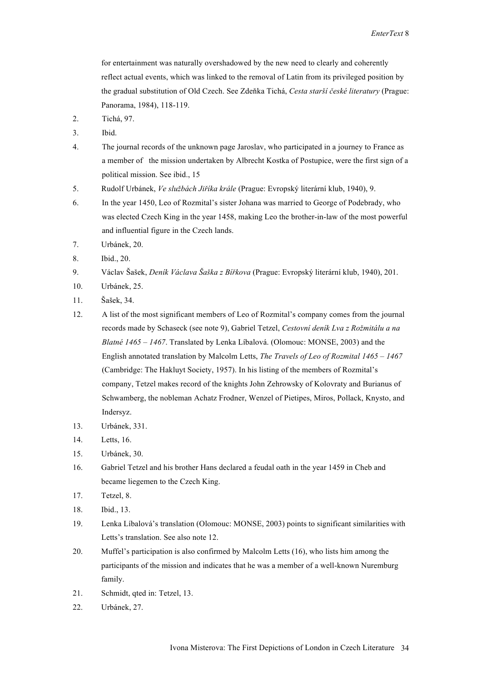for entertainment was naturally overshadowed by the new need to clearly and coherently reflect actual events, which was linked to the removal of Latin from its privileged position by the gradual substitution of Old Czech. See Zdeňka Tichá, *Cesta starší české literatury* (Prague: Panorama, 1984), 118-119.

- 2. Tichá, 97.
- 3. Ibid.
- 4. The journal records of the unknown page Jaroslav, who participated in a journey to France as a member of the mission undertaken by Albrecht Kostka of Postupice, were the first sign of a political mission. See ibid., 15
- 5. Rudolf Urbánek, *Ve službách Jiříka krále* (Prague: Evropský literární klub, 1940), 9.
- 6. In the year 1450, Leo of Rozmital's sister Johana was married to George of Podebrady, who was elected Czech King in the year 1458, making Leo the brother-in-law of the most powerful and influential figure in the Czech lands.
- 7. Urbánek, 20.
- 8. Ibid., 20.
- 9. Václav Šašek, *Deník Václava Šaška z Bířkova* (Prague: Evropský literární klub, 1940), 201.
- 10. Urbánek, 25.
- 11. Šašek, 34.
- 12. A list of the most significant members of Leo of Rozmital's company comes from the journal records made by Schaseck (see note 9), Gabriel Tetzel, *Cestovní deník Lva z Rožmitálu a na Blatné 1465 – 1467*. Translated by Lenka Líbalová. (Olomouc: MONSE, 2003) and the English annotated translation by Malcolm Letts, *The Travels of Leo of Rozmital 1465 – 1467* (Cambridge: The Hakluyt Society, 1957). In his listing of the members of Rozmital's company, Tetzel makes record of the knights John Zehrowsky of Kolovraty and Burianus of Schwamberg, the nobleman Achatz Frodner, Wenzel of Pietipes, Miros, Pollack, Knysto, and Indersyz.
- 13. Urbánek, 331.
- 14. Letts, 16.
- 15. Urbánek, 30.
- 16. Gabriel Tetzel and his brother Hans declared a feudal oath in the year 1459 in Cheb and became liegemen to the Czech King.
- 17. Tetzel, 8.
- 18. Ibid., 13.
- 19. Lenka Líbalová's translation (Olomouc: MONSE, 2003) points to significant similarities with Letts's translation. See also note 12.
- 20. Muffel's participation is also confirmed by Malcolm Letts (16), who lists him among the participants of the mission and indicates that he was a member of a well-known Nuremburg family.
- 21. Schmidt, qted in: Tetzel, 13.
- 22. Urbánek, 27.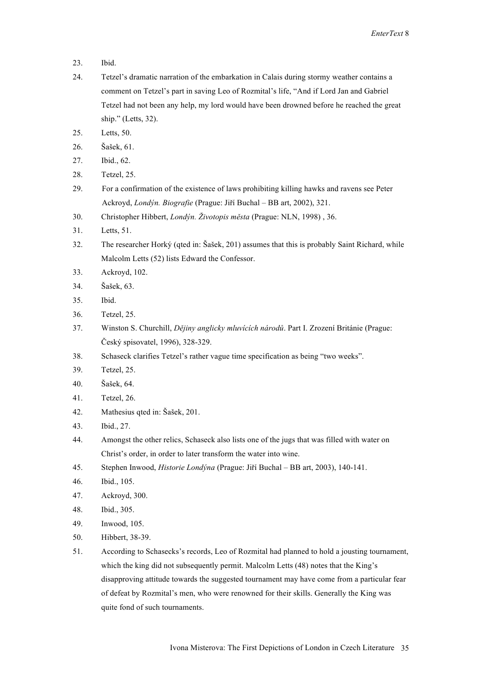- 23. Ibid.
- 24. Tetzel's dramatic narration of the embarkation in Calais during stormy weather contains a comment on Tetzel's part in saving Leo of Rozmital's life, "And if Lord Jan and Gabriel Tetzel had not been any help, my lord would have been drowned before he reached the great ship." (Letts, 32).
- 25. Letts, 50.
- 26. Šašek, 61.
- 27. Ibid., 62.
- 28. Tetzel, 25.
- 29. For a confirmation of the existence of laws prohibiting killing hawks and ravens see Peter Ackroyd, *Londýn. Biografie* (Prague: Jiří Buchal – BB art, 2002), 321.
- 30. Christopher Hibbert, *Londýn. Životopis města* (Prague: NLN, 1998) , 36.
- 31. Letts, 51.
- 32. The researcher Horký (qted in: Šašek, 201) assumes that this is probably Saint Richard, while Malcolm Letts (52) lists Edward the Confessor.
- 33. Ackroyd, 102.
- 34. Šašek, 63.
- 35. Ibid.
- 36. Tetzel, 25.
- 37. Winston S. Churchill, *Dějiny anglicky mluvících národů*. Part I. Zrození Británie (Prague: Český spisovatel, 1996), 328-329.
- 38. Schaseck clarifies Tetzel's rather vague time specification as being "two weeks".
- 39. Tetzel, 25.
- 40. Šašek, 64.
- 41. Tetzel, 26.
- 42. Mathesius qted in: Šašek, 201.
- 43. Ibid., 27.
- 44. Amongst the other relics, Schaseck also lists one of the jugs that was filled with water on Christ's order, in order to later transform the water into wine.
- 45. Stephen Inwood, *Historie Londýna* (Prague: Jiří Buchal BB art, 2003), 140-141.
- 46. Ibid., 105.
- 47. Ackroyd, 300.
- 48. Ibid., 305.
- 49. Inwood, 105.
- 50. Hibbert, 38-39.
- 51. According to Schasecks's records, Leo of Rozmital had planned to hold a jousting tournament, which the king did not subsequently permit. Malcolm Letts (48) notes that the King's disapproving attitude towards the suggested tournament may have come from a particular fear of defeat by Rozmital's men, who were renowned for their skills. Generally the King was quite fond of such tournaments.